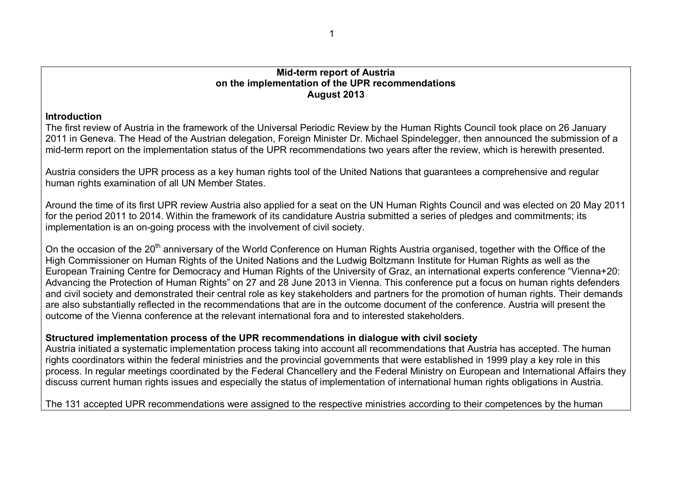### **Mid-term report of Austria on the implementation of the UPR recommendations August 2013**

### **Introduction**

The first review of Austria in the framework of the Universal Periodic Review by the Human Rights Council took place on 26 January 2011 in Geneva. The Head of the Austrian delegation, Foreign Minister Dr. Michael Spindelegger, then announced the submission of a mid-term report on the implementation status of the UPR recommendations two years after the review, which is herewith presented.

Austria considers the UPR process as a key human rights tool of the United Nations that guarantees a comprehensive and regular human rights examination of all UN Member States.

Around the time of its first UPR review Austria also applied for a seat on the UN Human Rights Council and was elected on 20 May 2011 for the period 2011 to 2014. Within the framework of its candidature Austria submitted a series of pledges and commitments; its implementation is an on-going process with the involvement of civil society.

On the occasion of the 20<sup>th</sup> anniversary of the World Conference on Human Rights Austria organised, together with the Office of the High Commissioner on Human Rights of the United Nations and the Ludwig Boltzmann Institute for Human Rights as well as the European Training Centre for Democracy and Human Rights of the University of Graz, an international experts conference "Vienna+20: Advancing the Protection of Human Rights" on 27 and 28 June 2013 in Vienna. This conference put a focus on human rights defenders and civil society and demonstrated their central role as key stakeholders and partners for the promotion of human rights. Their demands are also substantially reflected in the recommendations that are in the outcome document of the conference. Austria will present the outcome of the Vienna conference at the relevant international fora and to interested stakeholders.

# **Structured implementation process of the UPR recommendations in dialogue with civil society**

Austria initiated a systematic implementation process taking into account all recommendations that Austria has accepted. The human rights coordinators within the federal ministries and the provincial governments that were established in 1999 play a key role in this process. In regular meetings coordinated by the Federal Chancellery and the Federal Ministry on European and International Affairs they discuss current human rights issues and especially the status of implementation of international human rights obligations in Austria.

The 131 accepted UPR recommendations were assigned to the respective ministries according to their competences by the human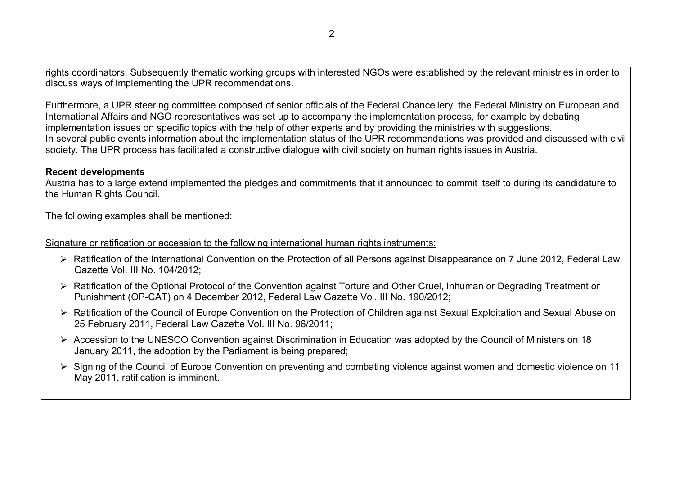rights coordinators. Subsequently thematic working groups with interested NGOs were established by the relevant ministries in order to discuss ways of implementing the UPR recommendations.

Furthermore, a UPR steering committee composed of senior officials of the Federal Chancellery, the Federal Ministry on European and International Affairs and NGO representatives was set up to accompany the implementation process, for example by debating implementation issues on specific topics with the help of other experts and by providing the ministries with suggestions. In several public events information about the implementation status of the UPR recommendations was provided and discussed with civil society. The UPR process has facilitated a constructive dialogue with civil society on human rights issues in Austria.

### **Recent developments**

Austria has to a large extend implemented the pledges and commitments that it announced to commit itself to during its candidature to the Human Rights Council.

The following examples shall be mentioned:

Signature or ratification or accession to the following international human rights instruments:

- Ratification of the International Convention on the Protection of all Persons against Disappearance on 7 June 2012, Federal Law Gazette Vol. III No. 104/2012;
- Ratification of the Optional Protocol of the Convention against Torture and Other Cruel, Inhuman or Degrading Treatment or Punishment (OP-CAT) on 4 December 2012, Federal Law Gazette Vol. III No. 190/2012;
- Ratification of the Council of Europe Convention on the Protection of Children against Sexual Exploitation and Sexual Abuse on 25 February 2011, Federal Law Gazette Vol. III No. 96/2011;
- Accession to the UNESCO Convention against Discrimination in Education was adopted by the Council of Ministers on 18 January 2011, the adoption by the Parliament is being prepared;
- Signing of the Council of Europe Convention on preventing and combating violence against women and domestic violence on 11 May 2011, ratification is imminent.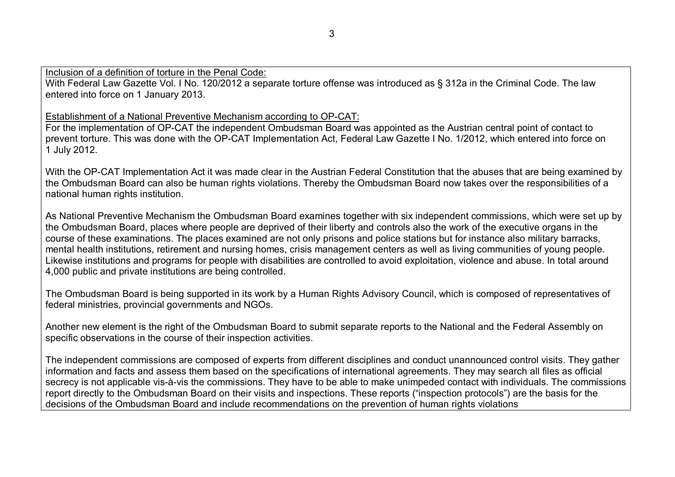Inclusion of a definition of torture in the Penal Code:

With Federal Law Gazette Vol. I No. 120/2012 a separate torture offense was introduced as § 312a in the Criminal Code. The law entered into force on 1 January 2013.

Establishment of a National Preventive Mechanism according to OP-CAT:

For the implementation of OP-CAT the independent Ombudsman Board was appointed as the Austrian central point of contact to prevent torture. This was done with the OP-CAT Implementation Act, Federal Law Gazette I No. 1/2012, which entered into force on 1 July 2012.

With the OP-CAT Implementation Act it was made clear in the Austrian Federal Constitution that the abuses that are being examined by the Ombudsman Board can also be human rights violations. Thereby the Ombudsman Board now takes over the responsibilities of a national human rights institution.

As National Preventive Mechanism the Ombudsman Board examines together with six independent commissions, which were set up by the Ombudsman Board, places where people are deprived of their liberty and controls also the work of the executive organs in the course of these examinations. The places examined are not only prisons and police stations but for instance also military barracks, mental health institutions, retirement and nursing homes, crisis management centers as well as living communities of young people. Likewise institutions and programs for people with disabilities are controlled to avoid exploitation, violence and abuse. In total around 4,000 public and private institutions are being controlled.

The Ombudsman Board is being supported in its work by a Human Rights Advisory Council, which is composed of representatives of federal ministries, provincial governments and NGOs.

Another new element is the right of the Ombudsman Board to submit separate reports to the National and the Federal Assembly on specific observations in the course of their inspection activities.

The independent commissions are composed of experts from different disciplines and conduct unannounced control visits. They gather information and facts and assess them based on the specifications of international agreements. They may search all files as official secrecy is not applicable vis-à-vis the commissions. They have to be able to make unimpeded contact with individuals. The commissions report directly to the Ombudsman Board on their visits and inspections. These reports ("inspection protocols") are the basis for the decisions of the Ombudsman Board and include recommendations on the prevention of human rights violations